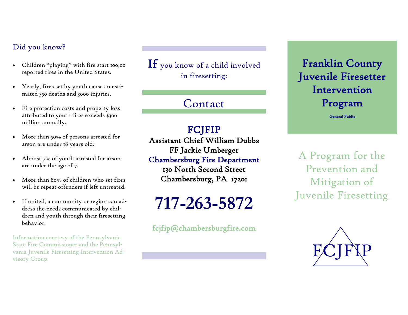#### Did you know?

- Children "playing" with fire start 100,00 reported fires in the United States.
- Yearly, fires set by youth cause an estimated 350 deaths and 3000 injuries.
- Fire protection costs and property loss attributed to youth fires exceeds \$300 million annually.
- More than 50% of persons arrested for arson are under 18 years old.
- Almost 7% of youth arrested for arson are under the age of 7.
- More than 80% of children who set fires will be repeat offenders if left untreated.
- If united, a community or region can address the needs communicated by children and youth through their firesetting behavior.

Information courtesy of the Pennsylvania State Fire Commissioner and the Pennsylvania Juvenile Firesetting Intervention Advisory Group

 $\mathbf{If}$  you know of a child involved in firesetting:

Contact

#### FCJFIP

Assistant Chief William Dubbs FF Jackie Umberger Chambersburg Fire Department

130 North Second Street Chambersburg, PA 17201

**717-263-5872**

fcjfip@chambersburgfire.com

### Franklin County Juvenile Firesetter Intervention Program

General Public

A Program for the Prevention and Mitigation of Juvenile Firesetting